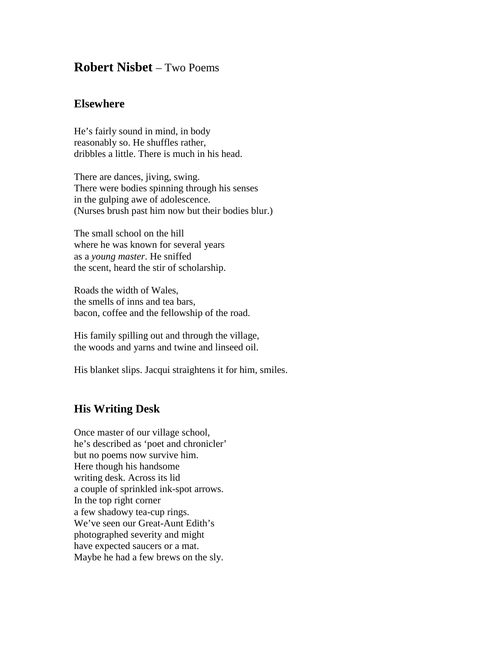## **Robert Nisbet** – Two Poems

## **Elsewhere**

He's fairly sound in mind, in body reasonably so. He shuffles rather, dribbles a little. There is much in his head.

There are dances, jiving, swing. There were bodies spinning through his senses in the gulping awe of adolescence. (Nurses brush past him now but their bodies blur.)

The small school on the hill where he was known for several years as a *young master*. He sniffed the scent, heard the stir of scholarship.

Roads the width of Wales, the smells of inns and tea bars, bacon, coffee and the fellowship of the road.

His family spilling out and through the village, the woods and yarns and twine and linseed oil.

His blanket slips. Jacqui straightens it for him, smiles.

## **His Writing Desk**

Once master of our village school, he's described as 'poet and chronicler' but no poems now survive him. Here though his handsome writing desk. Across its lid a couple of sprinkled ink-spot arrows. In the top right corner a few shadowy tea-cup rings. We've seen our Great-Aunt Edith's photographed severity and might have expected saucers or a mat. Maybe he had a few brews on the sly.